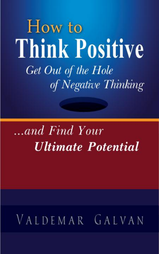How to **Think Positive** Get Out of the Hole of Negative Thinking

# ...and Find Your Ultimate Potential

# VALDEMAR GALVAN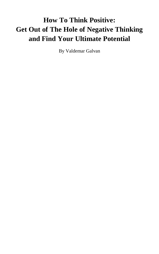# **How To Think Positive: Get Out of The Hole of Negative Thinking and Find Your Ultimate Potential**

By Valdemar Galvan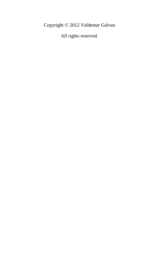Copyright © 2012 Valdemar Galvan

All rights reserved.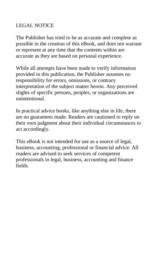#### LEGAL NOTICE

The Publisher has tried to be as accurate and complete as possible in the creation of this eBook, and does not warrant or represent at any time that the contents within are accurate as they are based on personal experience.

While all attempts have been made to verify information provided in this publication, the Publisher assumes no responsibility for errors, omissions, or contrary interpretation of the subject matter herein. Any perceived slights of specific persons, peoples, or organizations are unintentional.

In practical advice books, like anything else in life, there are no guarantees made. Readers are cautioned to reply on their own judgment about their individual circumstances to act accordingly.

This eBook is not intended for use as a source of legal, business, accounting, professional or financial advice. All readers are advised to seek services of competent professionals in legal, business, accounting and finance fields.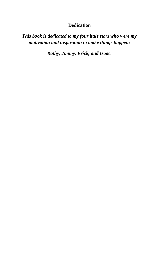#### **Dedication**

*This book is dedicated to my four little stars who were my motivation and inspiration to make things happen:* 

*Kathy, Jimmy, Erick, and Isaac.*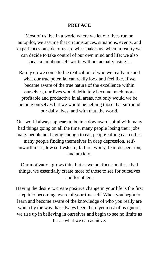#### **PREFACE**

Most of us live in a world where we let our lives run on autopilot, we assume that circumstances, situations, events, and experiences outside of us are what makes us, when in reality we can decide to take control of our own mind and life; we also speak a lot about self-worth without actually using it.

Rarely do we come to the realization of who we really are and what our true potential can really look and feel like. If we became aware of the true nature of the excellence within ourselves, our lives would definitely become much more profitable and productive in all areas, not only would we be helping ourselves but we would be helping those that surround our daily lives, and with that, the world.

Our world always appears to be in a downward spiral with many bad things going on all the time, many people losing their jobs, many people not having enough to eat, people killing each other, many people finding themselves in deep depression, selfunworthiness, low self-esteem, failure, worry, fear, desperation, and anxiety.

Our motivation grows thin, but as we put focus on these bad things, we essentially create more of those to see for ourselves and for others.

Having the desire to create positive change in your life is the first step into becoming aware of your true self. When you begin to learn and become aware of the knowledge of who you really are which by the way, has always been there yet most of us ignore; we rise up in believing in ourselves and begin to see no limits as far as what we can achieve.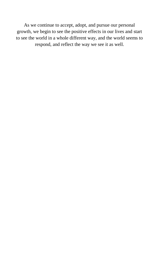As we continue to accept, adopt, and pursue our personal growth, we begin to see the positive effects in our lives and start to see the world in a whole different way, and the world seems to respond, and reflect the way we see it as well.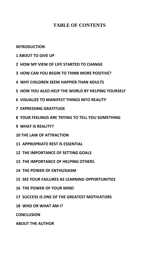#### **TABLE OF CONTENTS**

**[INTRODUCTION](#page-9-0)**

- **[1 ABOUT TO GIVE UP](#page-11-0)**
- **[2 HOW MY VIEW OF LIFE STARTED TO CHANGE](#page-15-0)**
- **3 HOW CAN YOU BEGIN [TO THINK MORE POSITIVE?](#page-19-0)**
- **[4 WHY CHILDREN SEEM](#page-26-0) HAPPIER THAN ADULTS**
- **5 HOW YOU ALSO HELP [THE WORLD BY HELPING](#page-29-0) YOURSELF**
- **[6 VISUALIZE TO MANIFEST THINGS INTO REALITY](#page-31-0)**
- **[7 EXPRESSING GRATITUDE](#page-35-0)**
- **8 YOUR FEELINGS ARE [TRYING TO TELL YOU SOMETHING](#page-37-0)**
- **[9 WHAT IS REALITY?](#page-40-0)**
- **10 THE [LAW OF ATTRACTION](#page-43-0)**
- **[11 APPROPRIATE REST](#page-47-0) IS ESSENTIAL**
- **[12 THE IMPORTANCE OF SETTING GOALS](#page-49-0)**
- **[13 THE IMPORTANCE OF HELPING OTHERS](#page-53-0)**
- **[14 THE POWER OF ENTHUSIASM](#page-55-0)**
- **[15 SEE YOUR FAILURES AS LEARNING OPPORTUNITIES](#page-59-0)**
- **[16 THE POWER OF](#page-63-0) YOUR MIND**
- **[17 SUCCESS IS ONE OF THE GREATEST MOTIVATORS](#page-67-0)**
- **[18 WHO OR WHAT AM I?](#page-69-0)**

**[CONCLUSION](#page-72-0)**

**[ABOUT THE AUTHOR](#page-73-0)**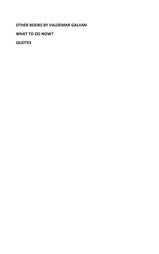**[OTHER BOOKS BY VALDEMAR GALVAN](#page-74-0)**

**[WHAT TO DO NOW?](#page-75-0)**

**[QUOTES](#page-76-0)**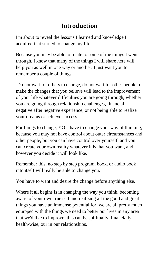# **Introduction**

<span id="page-9-0"></span>I'm about to reveal the lessons I learned and knowledge I acquired that started to change my life.

Because you may be able to relate to some of the things I went through, I know that many of the things I will share here will help you as well in one way or another. I just want you to remember a couple of things.

Do not wait for others to change, do not wait for other people to make the changes that you believe will lead to the improvement of your life whatever difficulties you are going through, whether you are going through relationship challenges, financial, negative after negative experience, or not being able to realize your dreams or achieve success.

For things to change, YOU have to change your way of thinking, because you may not have control about outer circumstances and other people, but you can have control over yourself, and you can create your own reality whatever it is that you want, and however you decide it will look like.

Remember this, no step by step program, book, or audio book into itself will really be able to change you.

You have to want and desire the change before anything else.

Where it all begins is in changing the way you think, becoming aware of your own true self and realizing all the good and great things you have an immense potential for, we are all pretty much equipped with the things we need to better our lives in any area that we'd like to improve, this can be spiritually, financially, health-wise, our in our relationships.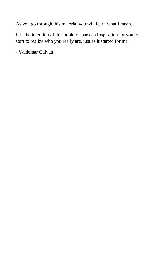As you go through this material you will learn what I mean.

It is the intention of this book to spark an inspiration for you to start to realize who you really are, just as it started for me.

- Valdemar Galvan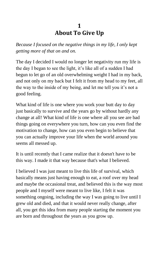## **1 About To Give Up**

<span id="page-11-0"></span>*Because I focused on the negative things in my life, I only kept getting more of that on and on.*

The day I decided I would no longer let negativity run my life is the day I began to see the light, it's like all of a sudden I had begun to let go of an old overwhelming weight I had in my back, and not only on my back but I felt it from my head to my feet, all the way to the inside of my being, and let me tell you it's not a good feeling.

What kind of life is one where you work your butt day to day just basically to survive and the years go by without hardly any change at all! What kind of life is one where all you see are bad things going on everywhere you turn, how can you even find the motivation to change, how can you even begin to believe that you can actually improve your life when the world around you seems all messed up.

It is until recently that I came realize that it doesn't have to be this way. I made it that way because that's what I believed.

I believed I was just meant to live this life of survival, which basically means just having enough to eat, a roof over my head and maybe the occasional treat, and believed this is the way most people and I myself were meant to live like, I felt it was something ongoing, including the way I was going to live until I grew old and died, and that it would never really change, after all, you get this idea from many people starting the moment you are born and throughout the years as you grow up.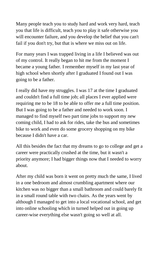Many people teach you to study hard and work very hard, teach you that life is difficult, teach you to play it safe otherwise you will encounter failure, and you develop the belief that you can't fail if you don't try, but that is where we miss out on life.

For many years I was trapped living in a life I believed was out of my control. It really began to hit me from the moment I became a young father. I remember myself in my last year of high school when shortly after I graduated I found out I was going to be a father.

I really did have my struggles. I was 17 at the time I graduated and couldn't find a full time job; all places I ever applied were requiring me to be 18 to be able to offer me a full time position. But I was going to be a father and needed to work soon. I managed to find myself two part time jobs to support my new coming child, I had to ask for rides, take the bus and sometimes bike to work and even do some grocery shopping on my bike because I didn't have a car.

All this besides the fact that my dreams to go to college and get a career were practically crushed at the time, but it wasn't a priority anymore; I had bigger things now that I needed to worry about.

After my child was born it went on pretty much the same, I lived in a one bedroom and almost crumbling apartment where our kitchen was no bigger than a small bathroom and could barely fit in a small round table with two chairs. As the years went by although I managed to get into a local vocational school, and get into online schooling which in turned helped out in going up career-wise everything else wasn't going so well at all.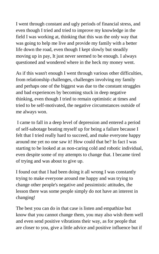I went through constant and ugly periods of financial stress, and even though I tried and tried to improve my knowledge in the field I was working at, thinking that this was the only way that was going to help me live and provide my family with a better life down the road, even though I kept slowly but steadily moving up in pay, It just never seemed to be enough. I always questioned and wondered where in the heck my money went.

As if this wasn't enough I went through various other difficulties, from relationship challenges, challenges involving my family and perhaps one of the biggest was due to the constant struggles and bad experiences by becoming stuck in deep negative thinking, even though I tried to remain optimistic at times and tried to be self-motivated, the negative circumstances outside of me always won.

I came to fall in a deep level of depression and entered a period of self-sabotage beating myself up for being a failure because I felt that I tried really hard to succeed, and make everyone happy around me yet no one saw it! How could that be? In fact I was starting to be looked at as non-caring cold and robotic individual, even despite some of my attempts to change that. I became tired of trying and was about to give up.

I found out that I had been doing it all wrong I was constantly trying to make everyone around me happy and was trying to change other people's negative and pessimistic attitudes, the lesson there was some people simply do not have an interest in changing!

The best you can do in that case is listen and empathize but know that you cannot change them, you may also wish them well and even send positive vibrations their way, as for people that are closer to you, give a little advice and positive influence but if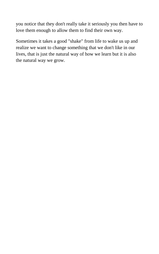you notice that they don't really take it seriously you then have to love them enough to allow them to find their own way.

Sometimes it takes a good "shake" from life to wake us up and realize we want to change something that we don't like in our lives, that is just the natural way of how we learn but it is also the natural way we grow.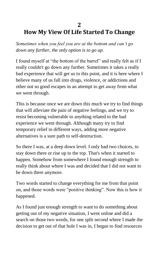#### **2**

# <span id="page-15-0"></span>**How My View Of Life Started To Change**

*Sometimes when you feel you are at the bottom and can't go down any further, the only option is to go up.*

I found myself at "the bottom of the barrel" and really felt as if I really couldn't go down any further. Sometimes it takes a really bad experience that will get us to this point, and it is here where I believe many of us fall into drugs, violence, or addictions and other not so good escapes in an attempt to get away from what we went through.

This is because once we are down this much we try to find things that will alleviate the pain of negative feelings, and we try to resist becoming vulnerable to anything related to the bad experience we went through. Although many try to find temporary relief in different ways, adding more negative alternatives is a sure path to self-destruction.

So there I was, at a deep down level. I only had two choices, to stay down there or rise up to the top. That's when it started to happen. Somehow from somewhere I found enough strength to really think about where I was and decided that I did not want to be down there anymore.

Two words started to change everything for me from that point on, and those words were "positive thinking". Now this is how it happened.

As I found just enough strength to want to do something about getting out of my negative situation, I went online and did a search on those two words, for one split second where I made the decision to get out of that hole I was in, I began to find resources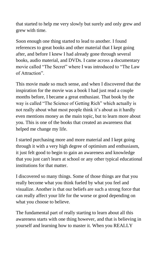that started to help me very slowly but surely and only grew and grew with time.

Soon enough one thing started to lead to another. I found references to great books and other material that I kept going after, and before I knew I had already gone through several books, audio material, and DVDs. I came across a documentary movie called "The Secret" where I was introduced to "The Law of Attraction".

This movie made so much sense, and when I discovered that the inspiration for the movie was a book I had just read a couple months before, I became a great enthusiast. That book by the way is called "The Science of Getting Rich" which actually is not really about what most people think it's about as it hardly even mentions money as the main topic, but to learn more about you. This is one of the books that created an awareness that helped me change my life.

I started purchasing more and more material and I kept going through it with a very high degree of optimism and enthusiasm, it just felt good to begin to gain an awareness and knowledge that you just can't learn at school or any other typical educational institutions for that matter.

I discovered so many things. Some of those things are that you really become what you think fueled by what you feel and visualize. Another is that our beliefs are such a strong force that can really affect your life for the worse or good depending on what you choose to believe.

The fundamental part of really starting to learn about all this awareness starts with one thing however, and that is believing in yourself and learning how to master it. When you REALLY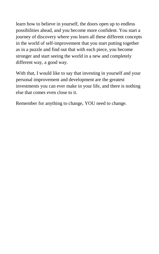learn how to believe in yourself, the doors open up to endless possibilities ahead, and you become more confident. You start a journey of discovery where you learn all these different concepts in the world of self-improvement that you start putting together as in a puzzle and find out that with each piece, you become stronger and start seeing the world in a new and completely different way, a good way.

With that, I would like to say that investing in yourself and your personal improvement and development are the greatest investments you can ever make in your life, and there is nothing else that comes even close to it.

Remember for anything to change, YOU need to change.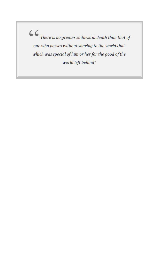one who passes without sharing to the world that which was special of him or her for the good of the world left behind"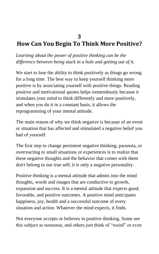#### **3**

# <span id="page-19-0"></span>**How Can You Begin To Think More Positive?**

*Learning about the power of positive thinking can be the difference between being stuck in a hole and getting out of it.*

We start to lose the ability to think positively as things go wrong for a long time. The best way to keep yourself thinking more positive is by associating yourself with positive things. Reading positive and motivational quotes helps tremendously because it stimulates your mind to think differently and more positively, and when you do it in a constant basis, it allows the reprogramming of your mental attitude.

The main reason of why we think negative is because of an event or situation that has affected and stimulated a negative belief you had of yourself.

The first step to change persistent negative thinking, paranoia, or overreacting to small situations or experiences is to realize that these negative thoughts and the behavior that comes with them don't belong to our true self; it is only a negative personality.

Positive thinking is a mental attitude that admits into the mind thoughts, words and images that are conductive to growth, expansion and success. It is a mental attitude that expects good, favorable, and positive outcomes. A positive mind anticipates happiness, joy, health and a successful outcome of every situation and action. Whatever the mind expects, it finds.

Not everyone accepts or believes in positive thinking. Some see this subject as nonsense, and others just think of "weird" or even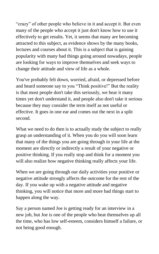"crazy" of other people who believe in it and accept it. But even many of the people who accept it just don't know how to use it effectively to get results. Yet, it seems that many are becoming attracted to this subject, as evidence shows by the many books, lectures and courses about it. This is a subject that is gaining popularity with many bad things going around nowadays, people are looking for ways to improve themselves and seek ways to change their attitude and view of life as a whole.

You've probably felt down, worried, afraid, or depressed before and heard someone say to you "Think positive!" But the reality is that most people don't take this seriously, we hear it many times yet don't understand it, and people also don't take it serious because they may consider the term itself as not useful or effective. It goes in one ear and comes out the next in a split second.

What we need to do then is to actually study the subject to really grasp an understanding of it. When you do you will soon learn that many of the things you are going through in your life at the moment are directly or indirectly a result of your negative or positive thinking. If you really stop and think for a moment you will also realize how negative thinking really affects your life.

When we are going through our daily activities your positive or negative attitude strongly affects the outcome for the rest of the day. If you wake up with a negative attitude and negative thinking, you will notice that more and more bad things start to happen along the way.

Say a person named Joe is getting ready for an interview in a new job, but Joe is one of the people who beat themselves up all the time, who has low self-esteem, considers himself a failure, or not being good enough.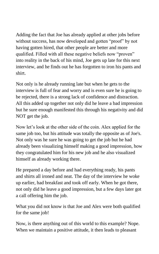Adding the fact that Joe has already applied at other jobs before without success, has now developed and gotten "proof" by not having gotten hired, that other people are better and more qualified. Filled with all these negative beliefs now "proven" into reality in the back of his mind, Joe gets up late for this next interview, and he finds out he has forgotten to iron his pants and shirt.

Not only is he already running late but when he gets to the interview is full of fear and worry and is even sure he is going to be rejected, there is a strong lack of confidence and distraction. All this added up together not only did he leave a bad impression but he sure enough manifested this through his negativity and did NOT get the job.

Now let's look at the other side of the coin. Alex applied for the same job too, but his attitude was totally the opposite as of Joe's. Not only was he sure he was going to get the job but he had already been visualizing himself making a good impression, how they congratulated him for his new job and he also visualized himself as already working there.

He prepared a day before and had everything ready, his pants and shirts all ironed and neat. The day of the interview he woke up earlier, had breakfast and took off early. When he got there, not only did he leave a good impression, but a few days later got a call offering him the job.

What you did not know is that Joe and Alex were both qualified for the same job!

Now, is there anything out of this world to this example? Nope. When we maintain a positive attitude, it then leads to pleasant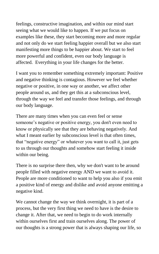feelings, constructive imagination, and within our mind start seeing what we would like to happen. If we put focus on examples like these, they start becoming more and more regular and not only do we start feeling happier overall but we also start manifesting more things to be happier about. We start to feel more powerful and confident, even our body language is affected. Everything in your life changes for the better.

I want you to remember something extremely important: Positive and negative thinking is contagious. However we feel whether negative or positive, in one way or another, we affect other people around us, and they get this at a subconscious level, through the way we feel and transfer those feelings, and through our body language.

There are many times when you can even feel or sense someone's negative or positive energy, you don't even need to know or physically see that they are behaving negatively. And what I meant earlier by subconscious level is that often times, that "negative energy" or whatever you want to call it, just gets to us through our thoughts and somehow start feeling it inside within our being.

There is no surprise there then, why we don't want to be around people filled with negative energy AND we want to avoid it. People are more conditioned to want to help you also if you emit a positive kind of energy and dislike and avoid anyone emitting a negative kind.

We cannot change the way we think overnight, it is part of a process, but the very first thing we need to have is the desire to change it. After that, we need to begin to do work internally within ourselves first and train ourselves along. The power of our thoughts is a strong power that is always shaping our life, so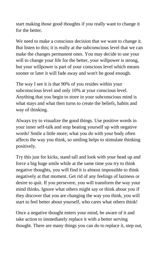start making those good thoughts if you really want to change it for the better.

We need to make a conscious decision that we want to change it. But listen to this; it is really at the subconscious level that we can make the changes permanent ones. You may decide to use your will to change your life for the better, your willpower is strong, but your willpower is part of your conscious level which means sooner or later it will fade away and won't be good enough.

The way I see it is that 90% of you resides within your subconscious level and only 10% at your conscious level. Anything that you begin to store in your subconscious mind is what stays and what then turns to create the beliefs, habits and way of thinking.

Always try to visualize the good things. Use positive words in your inner self-talk and stop beating yourself up with negative words! Smile a little more; what you do with your body often affects the way you think, so smiling helps to stimulate thinking positively.

Try this just for kicks, stand tall and look with your head up and force a big huge smile while at the same time you try to think negative thoughts, you will find it is almost impossible to think negatively at that moment. Get rid of any feelings of laziness or desire to quit. If you persevere, you will transform the way your mind thinks. Ignore what others might say or think about you if they discover that you are changing the way you think, you will start to feel better about yourself, who cares what others think!

Once a negative thought enters your mind, be aware of it and take action to immediately replace it with a better serving thought. There are many things you can do to replace it, step out,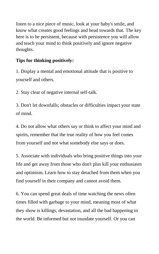listen to a nice piece of music, look at your baby's smile, and know what creates good feelings and head towards that. The key here is to be persistent, because with persistence you will allow and teach your mind to think positively and ignore negative thoughts.

#### **Tips for thinking positively:**

1. Display a mental and emotional attitude that is positive to yourself and others.

2. Stay clear of negative internal self-talk.

3. Don't let downfalls; obstacles or difficulties impact your state of mind.

4. Do not allow what others say or think to affect your mind and spirits, remember that the true reality of how you feel comes from yourself and not what somebody else says or does.

5. Associate with individuals who bring positive things into your life and get away from those who don't plus kill your enthusiasm and optimism. Learn how to stay detached from them when you find yourself in their company and cannot avoid them.

6. You can spend great deals of time watching the news often times filled with garbage to your mind, meaning most of what they show is killings, devastation, and all the bad happening in the world. Be informed but not inundate yourself. Or you can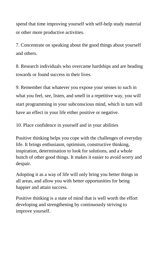spend that time improving yourself with self-help study material or other more productive activities.

7. Concentrate on speaking about the good things about yourself and others.

8. Research individuals who overcame hardships and are heading towards or found success in their lives.

9. Remember that whatever you expose your senses to such in what you feel, see, listen, and smell in a repetitive way, you will start programming in your subconscious mind, which in turn will have an effect in your life either positive or negative.

10. Place confidence in yourself and in your abilities

Positive thinking helps you cope with the challenges of everyday life. It brings enthusiasm, optimism, constructive thinking, inspiration, determination to look for solutions, and a whole bunch of other good things. It makes it easier to avoid worry and despair.

Adopting it as a way of life will only bring you better things in all areas, and allow you with better opportunities for being happier and attain success.

Positive thinking is a state of mind that is well worth the effort developing and strengthening by continuously striving to improve yourself.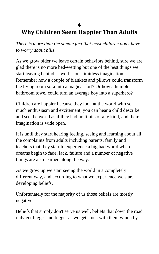### <span id="page-26-0"></span>**4 Why Children Seem Happier Than Adults**

*There is more than the simple fact that most children don't have to worry about bills.*

As we grow older we leave certain behaviors behind, sure we are glad there is no more bed-wetting but one of the best things we start leaving behind as well is our limitless imagination. Remember how a couple of blankets and pillows could transform the living room sofa into a magical fort? Or how a humble bathroom towel could turn an average boy into a superhero?

Children are happier because they look at the world with so much enthusiasm and excitement, you can hear a child describe and see the world as if they had no limits of any kind, and their imagination is wide open.

It is until they start hearing feeling, seeing and learning about all the complaints from adults including parents, family and teachers that they start to experience a big bad world where dreams begin to fade, lack, failure and a number of negative things are also learned along the way.

As we grow up we start seeing the world in a completely different way, and according to what we experience we start developing beliefs.

Unfortunately for the majority of us those beliefs are mostly negative.

Beliefs that simply don't serve us well, beliefs that down the road only get bigger and bigger as we get stuck with them which by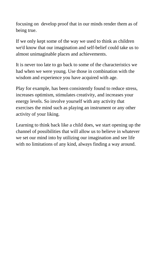focusing on develop proof that in our minds render them as of being true.

If we only kept some of the way we used to think as children we'd know that our imagination and self-belief could take us to almost unimaginable places and achievements.

It is never too late to go back to some of the characteristics we had when we were young. Use those in combination with the wisdom and experience you have acquired with age.

Play for example, has been consistently found to reduce stress, increases optimism, stimulates creativity, and increases your energy levels. So involve yourself with any activity that exercises the mind such as playing an instrument or any other activity of your liking.

Learning to think back like a child does, we start opening up the channel of possibilities that will allow us to believe in whatever we set our mind into by utilizing our imagination and see life with no limitations of any kind, always finding a way around.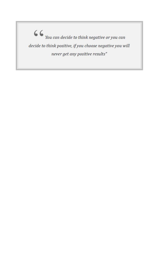$\zeta$   $\zeta$   $_{\text{You can decide to think negative or you can}}$ decide to think positive, if you choose negative you will never get any positive results"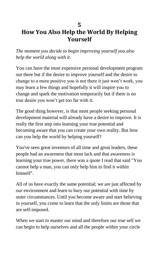## <span id="page-29-0"></span>**5 How You Also Help the World By Helping Yourself**

*The moment you decide to begin improving yourself you also help the world along with it.*

You can have the most expensive personal development program out there but if the desire to improve yourself and the desire to change to a more positive you is not there it just won't work, you may learn a few things and hopefully it will inspire you to change and spark the motivation temporarily but if there is no true desire you won't get too far with it.

The good thing however, is that most people seeking personal development material will already have a desire to improve. It is really the first step into learning your true potential and becoming aware that you can create your own reality. But how can you help the world by helping yourself?

You've seen great inventors of all time and great leaders, these people had an awareness that most lack and that awareness is learning your true power, there was a quote I read that said "You cannot help a man, you can only help him to find it within himself".

All of us have exactly the same potential; we are just affected by our environment and learn to bury our potential with time by outer circumstances. Until you become aware and start believing in yourself, you come to learn that the only limits are those that are self-imposed.

When we start to master our mind and therefore our true self we can begin to help ourselves and all the people within your circle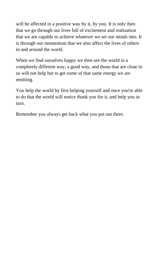will be affected in a positive way by it, by you. It is only then that we go through our lives full of excitement and realization that we are capable to achieve whatever we set our minds into. It is through our momentum that we also affect the lives of others in and around the world.

When we find ourselves happy we then see the world in a completely different way, a good way, and those that are close to us will not help but to get some of that same energy we are emitting.

You help the world by first helping yourself and once you're able to do that the world will notice thank you for it, and help you in turn.

Remember you always get back what you put out there.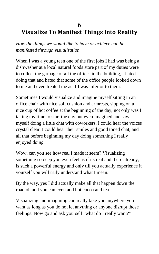## <span id="page-31-0"></span>**6 Visualize To Manifest Things Into Reality**

*How the things we would like to have or achieve can be manifested through visualization.*

When I was a young teen one of the first jobs I had was being a dishwasher at a local natural foods store part of my duties were to collect the garbage of all the offices in the building, I hated doing that and hated that some of the office people looked down to me and even treated me as if I was inferior to them.

Sometimes I would visualize and imagine myself sitting in an office chair with nice soft cushion and armrests, sipping on a nice cup of hot coffee at the beginning of the day, not only was I taking my time to start the day but even imagined and saw myself doing a little chat with coworkers, I could hear the voices crystal clear, I could hear their smiles and good toned chat, and all that before beginning my day doing something I really enjoyed doing.

Wow, can you see how real I made it seem? Visualizing something so deep you even feel as if its real and there already, is such a powerful energy and only till you actually experience it yourself you will truly understand what I mean.

By the way, yes I did actually make all that happen down the road oh and you can even add hot cocoa and tea.

Visualizing and imagining can really take you anywhere you want as long as you do not let anything or anyone disrupt those feelings. Now go and ask yourself "what do I really want?"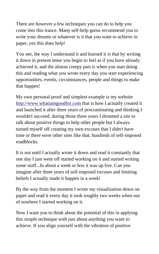There are however a few techniques you can do to help you come into this trance. Many self-help gurus recommend you to write your dreams or whatever is it that you want to achieve in paper, yes this does help!

You see, the way I understand it and learned it is that by writing it down in present tense you begin to feel as if you have already achieved it, and the almost creepy part is when you start doing this and reading what you wrote every day you start experiencing opportunities, events, circumstances, people and things to make that happen!

My own personal proof and simplest example is my website [http://www.whatiamgoodfor.com](http://www.whatiamgoodfor.com/) that is how I actually created it and launched it after three years of procrastinating and thinking I wouldn't succeed, during those three years I dreamed a site to talk about positive things to help other people but I always turned myself off creating my own excuses that I didn't have time or there were other sites like that, hundreds of self-imposed roadblocks.

It is not until I actually wrote it down and read it constantly that one day I just went off started working on it and started writing some stuff...In about a week or less it was up live. Can you imagine after three years of self-imposed excuses and limiting beliefs I actually made it happen in a week!

By the way from the moment I wrote my visualization down on paper and read it every day it took roughly two weeks when out of nowhere I started working on it.

Now I want you to think about the potential of this in applying this simple technique with just about anything you want to achieve. If you align yourself with the vibration of positive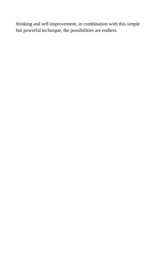thinking and self-improvement, in combination with this simple but powerful technique, the possibilities are endless.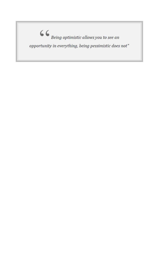$\mbox{\Large $\boldsymbol{\zeta}$}$   $\mbox{\Large $\boldsymbol{\zeta}$}$  being optimistic allows you to see an opportunity in everything, being pessimistic does not"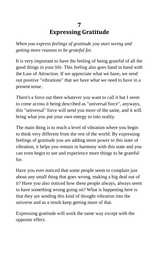# **7 Expressing Gratitude**

<span id="page-35-0"></span>*When you express feelings of gratitude you start seeing and getting more reasons to be grateful for.*

It is very important to have the feeling of being grateful of all the good things in your life. This feeling also goes hand in hand with the Law of Attraction. If we appreciate what we have, we send out positive "vibrations" that we have what we need to have in a present tense.

There's a force out there whatever you want to call it but I seem to come across it being described as "universal force", anyways, this "universal" force will send you more of the same, and it will bring what you put your own energy to into reality.

The main thing is to reach a level of vibration where you begin to think very different from the rest of the world. By expressing feelings of gratitude you are adding more power to this state of vibration, it helps you remain in harmony with this state and you can even begin to see and experience more things to be grateful for.

Have you ever noticed that some people seem to complain just about any small thing that goes wrong, making a big deal out of it? Have you also noticed how these people always, always seem to have something wrong going on? What is happening here is that they are sending this kind of thought vibration into the universe and as a result keep getting more of that.

Expressing gratitude will work the same way except with the opposite effect.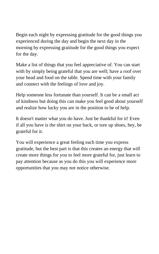Begin each night by expressing gratitude for the good things you experienced during the day and begin the next day in the morning by expressing gratitude for the good things you expect for the day.

Make a list of things that you feel appreciative of. You can start with by simply being grateful that you are well; have a roof over your head and food on the table. Spend time with your family and connect with the feelings of love and joy.

Help someone less fortunate than yourself. It can be a small act of kindness but doing this can make you feel good about yourself and realize how lucky you are in the position to be of help.

It doesn't matter what you do have. Just be thankful for it! Even if all you have is the shirt on your back, or tore up shoes, hey, be grateful for it.

You will experience a great feeling each time you express gratitude, but the best part is that this creates an energy that will create more things for you to feel more grateful for, just learn to pay attention because as you do this you will experience more opportunities that you may not notice otherwise.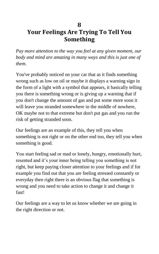### **8 Your Feelings Are Trying To Tell You Something**

*Pay more attention to the way you feel at any given moment, our body and mind are amazing in many ways and this is just one of them.*

You've probably noticed on your car that as it finds something wrong such as low on oil or maybe it displays a warning sign in the form of a light with a symbol that appears, it basically telling you there is something wrong or is giving up a warning that if you don't change the amount of gas and put some more soon it will leave you stranded somewhere in the middle of nowhere, OK maybe not to that extreme but don't put gas and you run the risk of getting stranded soon.

Our feelings are an example of this, they tell you when something is not right or on the other end too, they tell you when something is good.

You start feeling sad or mad or lonely, hungry, emotionally hurt, resented and it's your inner being telling you something is not right, but keep paying closer attention to your feelings and if for example you find out that you are feeling stressed constantly or everyday then right there is an obvious flag that something is wrong and you need to take action to change it and change it fast!

Our feelings are a way to let us know whether we are going in the right direction or not.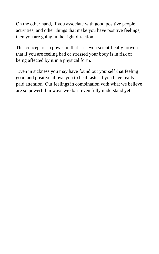On the other hand, If you associate with good positive people, activities, and other things that make you have positive feelings, then you are going in the right direction.

This concept is so powerful that it is even scientifically proven that if you are feeling bad or stressed your body is in risk of being affected by it in a physical form.

Even in sickness you may have found out yourself that feeling good and positive allows you to heal faster if you have really paid attention. Our feelings in combination with what we believe are so powerful in ways we don't even fully understand yet.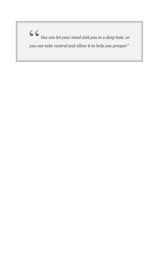$\left\{ \textbf{C} \right\}_{\textit{You can let your mind sink you in a deep hole, or } \mathbb{R}^n \text{,}$ you can take control and allow it to help you prosper"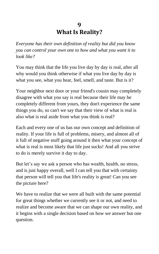### **9 What Is Reality?**

*Everyone has their own definition of reality but did you know you can control your own one to how and what you want it to look like?*

You may think that the life you live day by day is real, after all why would you think otherwise if what you live day by day is what you see, what you hear, feel, smell, and taste. But is it?

Your neighbor next door or your friend's cousin may completely disagree with what you say is real because their life may be completely different from yours, they don't experience the same things you do, so can't we say that their view of what is real is also what is real aside from what you think is real?

Each and every one of us has our own concept and definition of reality. If your life is full of problems, misery, and almost all of it full of negative stuff going around it then what your concept of what is real is most likely that life just sucks! And all you strive to do is merely survive it day to day.

But let's say we ask a person who has wealth, health, no stress, and is just happy overall, well I can tell you that with certainty that person will tell you that life's reality is great! Can you see the picture here?

We have to realize that we were all built with the same potential for great things whether we currently see it or not, and need to realize and become aware that we can shape our own reality, and it begins with a single decision based on how we answer but one question.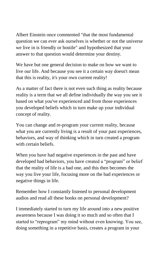Albert Einstein once commented "that the most fundamental question we can ever ask ourselves is whether or not the universe we live in is friendly or hostile" and hypothesized that your answer to that question would determine your destiny.

We have but one general decision to make on how we want to live our life. And because you see it a certain way doesn't mean that this is reality, it's your own current reality!

As a matter of fact there is not even such thing as reality because reality is a term that we all define individually the way you see it based on what you've experienced and from those experiences you developed beliefs which in turn make up your individual concept of reality.

You can change and re-program your current reality, because what you are currently living is a result of your past experiences, behaviors, and way of thinking which in turn created a program with certain beliefs.

When you have had negative experiences in the past and have developed bad behaviors, you have created a "program" or belief that the reality of life is a bad one, and this then becomes the way you live your life, focusing more on the bad experiences or negative things in life.

Remember how I constantly listened to personal development audios and read all these books on personal development?

I immediately started to turn my life around into a new positive awareness because I was doing it so much and so often that I started to "reprogram" my mind without even knowing. You see, doing something in a repetitive basis, creates a program in your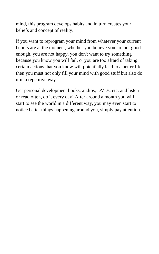mind, this program develops habits and in turn creates your beliefs and concept of reality.

If you want to reprogram your mind from whatever your current beliefs are at the moment, whether you believe you are not good enough, you are not happy, you don't want to try something because you know you will fail, or you are too afraid of taking certain actions that you know will potentially lead to a better life, then you must not only fill your mind with good stuff but also do it in a repetitive way.

Get personal development books, audios, DVDs, etc. and listen or read often, do it every day! After around a month you will start to see the world in a different way, you may even start to notice better things happening around you, simply pay attention.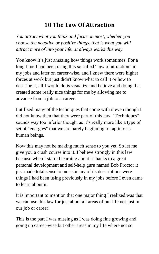# **10 The Law Of Attraction**

*You attract what you think and focus on most, whether you choose the negative or positive things, that is what you will attract more of into your life...it always works this way.*

You know it's just amazing how things work sometimes. For a long time I had been using this so called "law of attraction" in my jobs and later on career-wise, and I knew there were higher forces at work but just didn't know what to call it or how to describe it, all I would do is visualize and believe and doing that created some really nice things for me by allowing me to advance from a job to a career.

I utilized many of the techniques that come with it even though I did not know then that they were part of this law. "Techniques" sounds way too inferior though, as it's really more like a type of set of "energies" that we are barely beginning to tap into as human beings.

Now this may not be making much sense to you yet. So let me give you a crash course into it. I believe strongly in this law because when I started learning about it thanks to a great personal development and self-help guru named Bob Proctor it just made total sense to me as many of its descriptions were things I had been using previously in my jobs before I even came to learn about it.

It is important to mention that one major thing I realized was that we can use this law for just about all areas of our life not just in our job or career!

This is the part I was missing as I was doing fine growing and going up career-wise but other areas in my life where not so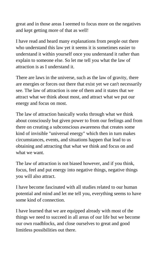great and in those areas I seemed to focus more on the negatives and kept getting more of that as well!

I have read and heard many explanations from people out there who understand this law yet it seems it is sometimes easier to understand it within yourself once you understand it rather than explain to someone else. So let me tell you what the law of attraction is as I understand it.

There are laws in the universe, such as the law of gravity, there are energies or forces out there that exist yet we can't necessarily see. The law of attraction is one of them and it states that we attract what we think about most, and attract what we put our energy and focus on most.

The law of attraction basically works through what we think about consciously but given power to from our feelings and from there on creating a subconscious awareness that creates some kind of invisible "universal energy" which then in turn makes circumstances, events, and situations happen that lead to us obtaining and attracting that what we think and focus on and what we want.

The law of attraction is not biased however, and if you think, focus, feel and put energy into negative things, negative things you will also attract.

I have become fascinated with all studies related to our human potential and mind and let me tell you, everything seems to have some kind of connection.

I have learned that we are equipped already with most of the things we need to succeed in all areas of our life but we become our own roadblocks, and close ourselves to great and good limitless possibilities out there.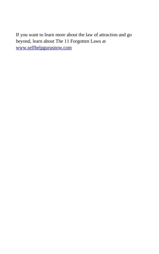If you want to learn more about the law of attraction and go beyond, learn about The 11 Forgotten Laws at [www.selfhelpgurusnow.com](http://www.selfhelpgurusnow.com/)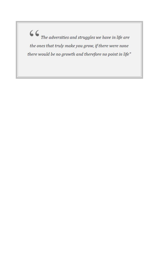$\textbf{\textit{G}}\textbf{\textit{G}}_{\textit{The adversities and struggles we have in life are}}$ the ones that truly make you grow, if there were none there would be no growth and therefore no point in life"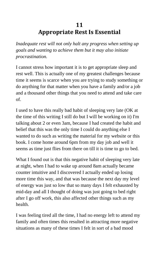# **11 Appropriate Rest Is Essential**

*Inadequate rest will not only halt any progress when setting up goals and wanting to achieve them but it may also initiate procrastination.*

I cannot stress how important it is to get appropriate sleep and rest well. This is actually one of my greatest challenges because time it seems is scarce when you are trying to study something or do anything for that matter when you have a family and/or a job and a thousand other things that you need to attend and take care of.

I used to have this really bad habit of sleeping very late (OK at the time of this writing I still do but I will be working on it) I'm talking about 2 or even 3am, because I had created the habit and belief that this was the only time I could do anything else I wanted to do such as writing the material for my website or this book. I come home around 6pm from my day job and well it seems as time just flies from there on till it is time to go to bed.

What I found out is that this negative habit of sleeping very late at night, when I had to wake up around 8am actually became counter intuitive and I discovered I actually ended up losing more time this way, and that was because the next day my level of energy was just so low that so many days I felt exhausted by mid-day and all I thought of doing was just going to bed right after I go off work, this also affected other things such as my health.

I was feeling tired all the time, I had no energy left to attend my family and often times this resulted in attracting more negative situations as many of these times I felt in sort of a bad mood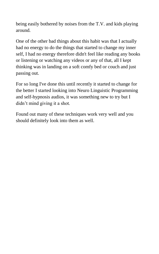being easily bothered by noises from the T.V. and kids playing around.

One of the other bad things about this habit was that I actually had no energy to do the things that started to change my inner self, I had no energy therefore didn't feel like reading any books or listening or watching any videos or any of that, all I kept thinking was in landing on a soft comfy bed or couch and just passing out.

For so long I've done this until recently it started to change for the better I started looking into Neuro Linguistic Programming and self-hypnosis audios, it was something new to try but I didn't mind giving it a shot.

Found out many of these techniques work very well and you should definitely look into them as well.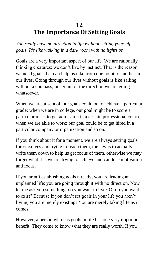# **12 The Importance Of Setting Goals**

*You really have no direction in life without setting yourself goals. It's like walking in a dark room with no lights on.*

Goals are a very important aspect of our life. We are rationally thinking creatures; we don't live by instinct. That is the reason we need goals that can help us take from one point to another in our lives. Going through our lives without goals is like sailing without a compass; uncertain of the direction we are going whatsoever.

When we are at school, our goals could be to achieve a particular grade; when we are in college, our goal might be to score a particular mark to get admission in a certain professional course; when we are able to work; our goal could be to get hired in a particular company or organization and so on.

If you think about it for a moment, we are always setting goals for ourselves and trying to reach them, the key is to actually write them down to help us get focus of them, otherwise we may forget what it is we are trying to achieve and can lose motivation and focus.

If you aren't establishing goals already, you are leading an unplanned life; you are going through it with no direction. Now let me ask you something, do you want to live? Or do you want to exist? Because if you don't set goals in your life you aren't living; you are merely existing! You are merely taking life as it comes.

However, a person who has goals in life has one very important benefit. They come to know what they are really worth. If you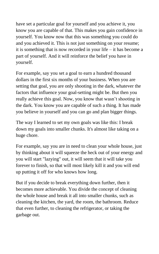have set a particular goal for yourself and you achieve it, you know you are capable of that. This makes you gain confidence in yourself. You know now that this was something you could do and you achieved it. This is not just something on your resume; it is something that is now recorded in your life – it has become a part of yourself. And it will reinforce the belief you have in yourself.

For example, say you set a goal to earn a hundred thousand dollars in the first six months of your business. When you are setting that goal, you are only shooting in the dark, whatever the factors that influence your goal-setting might be. But then you really achieve this goal. Now, you know that wasn't shooting in the dark. You know you are capable of such a thing. It has made you believe in yourself and you can go and plan bigger things.

The way I learned to set my own goals was like this: I break down my goals into smaller chunks. It's almost like taking on a huge chore.

For example, say you are in need to clean your whole house, just by thinking about it will squeeze the heck out of your energy and you will start "lazying" out, it will seem that it will take you forever to finish, so that will most likely kill it and you will end up putting it off for who knows how long.

But if you decide to break everything down further, then it becomes more achievable. You divide the concept of cleaning the whole house and break it all into smaller chunks, such as cleaning the kitchen, the yard, the room, the bathroom. Reduce that even further, to cleaning the refrigerator, or taking the garbage out.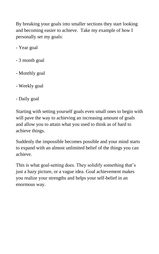By breaking your goals into smaller sections they start looking and becoming easier to achieve. Take my example of how I personally set my goals:

- Year goal
- 3 month goal
- Monthly goal
- Weekly goal
- Daily goal

Starting with setting yourself goals even small ones to begin with will pave the way to achieving an increasing amount of goals and allow you to attain what you used to think as of hard to achieve things.

Suddenly the impossible becomes possible and your mind starts to expand with an almost unlimited belief of the things you can achieve.

This is what goal-setting does. They solidify something that's just a hazy picture, or a vague idea. Goal achievement makes you realize your strengths and helps your self-belief in an enormous way.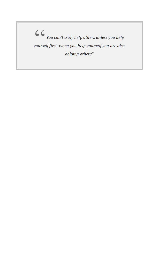$\begin{array}{c} \begin{array}{ccc} \rule{0pt}{14pt} \end{array} & \begin{array}{ccc} \rule{0pt}{2ex} \end{array} & \begin{array}{ccc} \rule{0pt}{2ex} \end{array} & \begin{array}{ccc} \rule{0pt}{2ex} \end{array} & \begin{array}{ccc} \rule{0pt}{2ex} \end{array} & \begin{array}{ccc} \rule{0pt}{2ex} \end{array} & \begin{array}{ccc} \rule{0pt}{2ex} \end{array} & \begin{array}{ccc} \rule{0pt}{2ex} \end{array} & \begin{array}{ccc} \rule{0pt}{2ex} \end{array} & \begin{array}{ccc} \rule{0pt}{2$ yourself first, when you help yourself you are also helping others"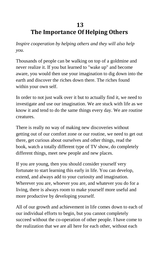## **13 The Importance Of Helping Others**

*Inspire cooperation by helping others and they will also help you.*

Thousands of people can be walking on top of a goldmine and never realize it. If you but learned to "wake up" and become aware, you would then use your imagination to dig down into the earth and discover the riches down there. The riches found within your own self.

In order to not just walk over it but to actually find it, we need to investigate and use our imagination. We are stuck with life as we know it and tend to do the same things every day. We are routine creatures.

There is really no way of making new discoveries without getting out of our comfort zone or our routine, we need to get out there, get curious about ourselves and other things, read the book, watch a totally different type of TV show, do completely different things, meet new people and new places.

If you are young, then you should consider yourself very fortunate to start learning this early in life. You can develop, extend, and always add to your curiosity and imagination. Wherever you are, whoever you are, and whatever you do for a living, there is always room to make yourself more useful and more productive by developing yourself.

All of our growth and achievement in life comes down to each of our individual efforts to begin, but you cannot completely succeed without the co-operation of other people. I have come to the realization that we are all here for each other, without each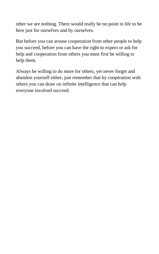other we are nothing. There would really be no point in life to be here just for ourselves and by ourselves.

But before you can arouse cooperation from other people to help you succeed, before you can have the right to expect or ask for help and cooperation from others you must first be willing to help them.

Always be willing to do more for others, yet never forget and abandon yourself either, just remember that by cooperation with others you can draw on infinite intelligence that can help everyone involved succeed.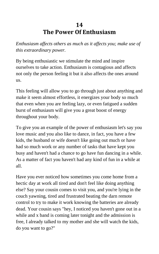## **14 The Power Of Enthusiasm**

*Enthusiasm affects others as much as it affects you; make use of this extraordinary power.*

By being enthusiastic we stimulate the mind and inspire ourselves to take action. Enthusiasm is contagious and affects not only the person feeling it but it also affects the ones around us.

This feeling will allow you to go through just about anything and make it seem almost effortless, it energizes your body so much that even when you are feeling lazy, or even fatigued a sudden burst of enthusiasm will give you a great boost of energy throughout your body.

To give you an example of the power of enthusiasm let's say you love music and you also like to dance, in fact, you have a few kids, the husband or wife doesn't like going out much or have had so much work or any number of tasks that have kept you busy and haven't had a chance to go have fun dancing in a while. As a matter of fact you haven't had any kind of fun in a while at all.

Have you ever noticed how sometimes you come home from a hectic day at work all tired and don't feel like doing anything else? Say your cousin comes to visit you, and you're lying in the couch yawning, tired and frustrated beating the darn remote control to try to make it work knowing the batteries are already dead. Your cousin says "hey, I noticed you haven't gone out in a while and x band is coming later tonight and the admission is free, I already talked to my mother and she will watch the kids, do you want to go?"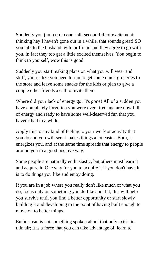Suddenly you jump up in one split second full of excitement thinking hey I haven't gone out in a while, that sounds great! SO you talk to the husband, wife or friend and they agree to go with you, in fact they too get a little excited themselves. You begin to think to yourself, wow this is good.

Suddenly you start making plans on what you will wear and stuff, you realize you need to run to get some quick groceries to the store and leave some snacks for the kids or plan to give a couple other friends a call to invite them.

Where did your lack of energy go! It's gone! All of a sudden you have completely forgotten you were even tired and are now full of energy and ready to have some well-deserved fun that you haven't had in a while.

Apply this to any kind of feeling to your work or activity that you do and you will see it makes things a lot easier. Both, it energizes you, and at the same time spreads that energy to people around you in a good positive way.

Some people are naturally enthusiastic, but others must learn it and acquire it. One way for you to acquire it if you don't have it is to do things you like and enjoy doing.

If you are in a job where you really don't like much of what you do, focus only on something you do like about it, this will help you survive until you find a better opportunity or start slowly building it and developing to the point of having built enough to move on to better things.

Enthusiasm is not something spoken about that only exists in thin air; it is a force that you can take advantage of, learn to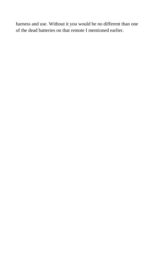harness and use. Without it you would be no different than one of the dead batteries on that remote I mentioned earlier.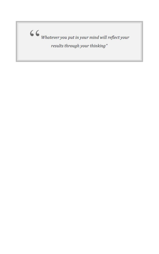$\begin{array}{c} \begin{array}{ccc} \rule{0pt}{16pt}\\ \rule{0pt}{16pt} \end{array} & \begin{array}{l} \rule{0pt}{2ex}\\ \rule{0pt}{16pt} \end{array} & \begin{array}{l} \rule{0pt}{2ex}\\ \rule{0pt}{16pt} \end{array} & \begin{array}{l} \rule{0pt}{2ex}\\ \rule{0pt}{16pt} \end{array} & \begin{array}{l} \rule{0pt}{2ex}\\ \rule{0pt}{16pt} \end{array} & \begin{array}{l} \rule{0pt}{2ex}\\ \rule{0pt}{16pt} \end{array} & \begin{array}{l} \rule{0pt}{2ex}\\ \rule{0$ results through your thinking"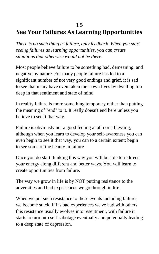#### **15**

# **See Your Failures As Learning Opportunities**

*There is no such thing as failure, only feedback. When you start seeing failures as learning opportunities, you can create situations that otherwise would not be there.*

Most people believe failure to be something bad, demeaning, and negative by nature. For many people failure has led to a significant number of not very good endings and grief, it is sad to see that many have even taken their own lives by dwelling too deep in that sentiment and state of mind.

In reality failure is more something temporary rather than putting the meaning of "end" to it. It really doesn't end here unless you believe to see it that way.

Failure is obviously not a good feeling at all nor a blessing, although when you learn to develop your self-awareness you can even begin to see it that way, you can to a certain extent; begin to see some of the beauty in failure.

Once you do start thinking this way you will be able to redirect your energy along different and better ways. You will learn to create opportunities from failure.

The way we grow in life is by NOT putting resistance to the adversities and bad experiences we go through in life.

When we put such resistance to these events including failure; we become stuck, if it's bad experiences we've had with others this resistance usually evolves into resentment, with failure it starts to turn into self-sabotage eventually and potentially leading to a deep state of depression.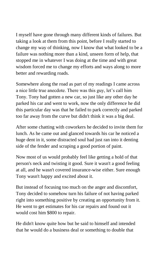I myself have gone through many different kinds of failures. But taking a look at them from this point, before I really started to change my way of thinking, now I know that what looked to be a failure was nothing more than a kind, unseen form of help, that stopped me in whatever I was doing at the time and with great wisdom forced me to change my efforts and ways along to more better and rewarding roads.

Somewhere along the road as part of my readings I came across a nice little true anecdote. There was this guy, let's call him Tony. Tony had gotten a new car, so just like any other day he parked his car and went to work, now the only difference he did this particular day was that he failed to park correctly and parked too far away from the curve but didn't think it was a big deal.

After some chatting with coworkers he decided to invite them for lunch. As he came out and glanced towards his car he noticed a huge dent in it, some distracted soul had just ran into it denting side of the fender and scraping a good portion of paint.

Now most of us would probably feel like getting a hold of that person's neck and twisting it good. Sure it wasn't a good feeling at all, and he wasn't covered insurance-wise either. Sure enough Tony wasn't happy and excited about it.

But instead of focusing too much on the anger and discomfort, Tony decided to somehow turn his failure of not having parked right into something positive by creating an opportunity from it. He went to get estimates for his car repairs and found out it would cost him \$800 to repair.

He didn't know quite how but he said to himself and intended that he would do a business deal or something to double that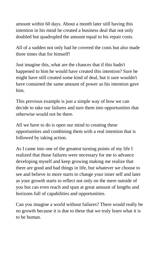amount within 60 days. About a month later still having this intention in his mind he created a business deal that not only doubled but quadrupled the amount equal to his repair costs.

All of a sudden not only had he covered the costs but also made three times that for himself!

Just imagine this, what are the chances that if this hadn't happened to him he would have created this intention? Sure he might have still created some kind of deal, but it sure wouldn't have contained the same amount of power as his intention gave him.

This previous example is just a simple way of how we can decide to take our failures and turn them into opportunities that otherwise would not be there.

All we have to do is open our mind to creating these opportunities and combining them with a real intention that is followed by taking action.

As I came into one of the greatest turning points of my life I realized that those failures were necessary for me to advance developing myself and keep growing making me realize that there are good and bad things in life, but whatever we choose to see and believe in more starts to change your inner self and later as your growth starts to reflect not only on the mere outside of you but can even reach and span at great amount of lengths and horizons full of capabilities and opportunities.

Can you imagine a world without failures? There would really be no growth because it is due to these that we truly learn what it is to be human.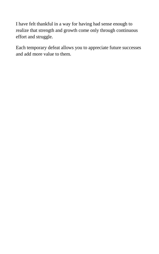I have felt thankful in a way for having had sense enough to realize that strength and growth come only through continuous effort and struggle.

Each temporary defeat allows you to appreciate future successes and add more value to them.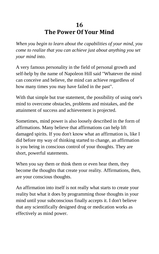## **16 The Power Of Your Mind**

*When you begin to learn about the capabilities of your mind, you come to realize that you can achieve just about anything you set your mind into.*

A very famous personality in the field of personal growth and self-help by the name of Napoleon Hill said "Whatever the mind can conceive and believe, the mind can achieve regardless of how many times you may have failed in the past".

With that simple but true statement, the possibility of using one's mind to overcome obstacles, problems and mistakes, and the attainment of success and achievement is projected.

Sometimes, mind power is also loosely described in the form of affirmations. Many believe that affirmations can help lift damaged spirits. If you don't know what an affirmation is, like I did before my way of thinking started to change, an affirmation is you being in conscious control of your thoughts. They are short, powerful statements.

When you say them or think them or even hear them, they become the thoughts that create your reality. Affirmations, then, are your conscious thoughts.

An affirmation into itself is not really what starts to create your reality but what it does by programming those thoughts in your mind until your subconscious finally accepts it. I don't believe that any scientifically designed drug or medication works as effectively as mind power.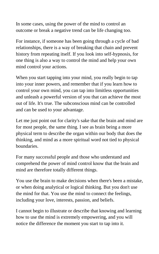In some cases, using the power of the mind to control an outcome or break a negative trend can be life changing too.

For instance, if someone has been going through a cycle of bad relationships, there is a way of breaking that chain and prevent history from repeating itself. If you look into self-hypnosis, for one thing is also a way to control the mind and help your own mind control your actions.

When you start tapping into your mind, you really begin to tap into your inner powers, and remember that if you learn how to control your own mind, you can tap into limitless opportunities and unleash a powerful version of you that can achieve the most out of life. It's true. The subconscious mind can be controlled and can be used to your advantage.

Let me just point out for clarity's sake that the brain and mind are for most people, the same thing. I see as brain being a more physical term to describe the organ within our body that does the thinking, and mind as a more spiritual word not tied to physical boundaries.

For many successful people and those who understand and comprehend the power of mind control know that the brain and mind are therefore totally different things.

You use the brain to make decisions when there's been a mistake, or when doing analytical or logical thinking. But you don't use the mind for that. You use the mind to connect the feelings, including your love, interests, passion, and beliefs.

I cannot begin to illustrate or describe that knowing and learning how to use the mind is extremely empowering, and you will notice the difference the moment you start to tap into it.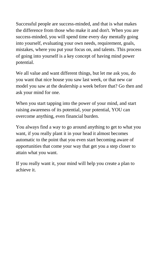Successful people are success-minded, and that is what makes the difference from those who make it and don't. When you are success-minded, you will spend time every day mentally going into yourself, evaluating your own needs, requirement, goals, mistakes, where you put your focus on, and talents. This process of going into yourself is a key concept of having mind power potential.

We all value and want different things, but let me ask you, do you want that nice house you saw last week, or that new car model you saw at the dealership a week before that? Go then and ask your mind for one.

When you start tapping into the power of your mind, and start raising awareness of its potential, your potential, YOU can overcome anything, even financial burden.

You always find a way to go around anything to get to what you want, if you really plant it in your head it almost becomes automatic to the point that you even start becoming aware of opportunities that come your way that get you a step closer to attain what you want.

If you really want it, your mind will help you create a plan to achieve it.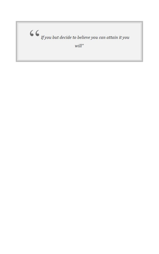$\textbf{\textit{G}}\textbf{\textit{G}}_{\textit{lf you but decide to believe you can attain it you}}$  $will''$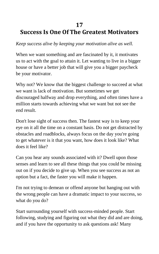#### **17**

# **Success Is One Of The Greatest Motivators**

*Keep success alive by keeping your motivation alive as well.*

When we want something and are fascinated by it, it motivates us to act with the goal to attain it. Let wanting to live in a bigger house or have a better job that will give you a bigger paycheck be your motivator.

Why not? We know that the biggest challenge to succeed at what we want is lack of motivation. But sometimes we get discouraged halfway and drop everything, and often times have a million starts towards achieving what we want but not see the end result.

Don't lose sight of success then. The fastest way is to keep your eye on it all the time on a constant basis. Do not get distracted by obstacles and roadblocks, always focus on the day you're going to get whatever is it that you want, how does it look like? What does it feel like?

Can you hear any sounds associated with it? Dwell upon those senses and learn to see all these things that you could be missing out on if you decide to give up. When you see success as not an option but a fact, the faster you will make it happen.

I'm not trying to demean or offend anyone but hanging out with the wrong people can have a dramatic impact to your success, so what do you do?

Start surrounding yourself with success-minded people. Start following, studying and figuring out what they did and are doing, and if you have the opportunity to ask questions ask! Many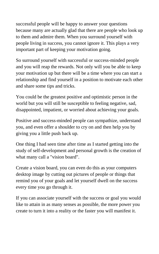successful people will be happy to answer your questions because many are actually glad that there are people who look up to them and admire them. When you surround yourself with people living in success, you cannot ignore it. This plays a very important part of keeping your motivation going.

So surround yourself with successful or success-minded people and you will reap the rewards. Not only will you be able to keep your motivation up but there will be a time where you can start a relationship and find yourself in a position to motivate each other and share some tips and tricks.

You could be the greatest positive and optimistic person in the world but you will still be susceptible to feeling negative, sad, disappointed, impatient, or worried about achieving your goals.

Positive and success-minded people can sympathize, understand you, and even offer a shoulder to cry on and then help you by giving you a little push back up.

One thing I had seen time after time as I started getting into the study of self-development and personal growth is the creation of what many call a "vision board".

Create a vision board, you can even do this as your computers desktop image by cutting out pictures of people or things that remind you of your goals and let yourself dwell on the success every time you go through it.

If you can associate yourself with the success or goal you would like to attain in as many senses as possible, the more power you create to turn it into a reality or the faster you will manifest it.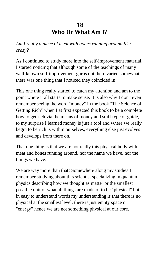### **18 Who Or What Am I?**

*Am I really a piece of meat with bones running around like crazy?*

As I continued to study more into the self-improvement material, I started noticing that although some of the teachings of many well-known self-improvement gurus out there varied somewhat, there was one thing that I noticed they coincided in.

This one thing really started to catch my attention and am to the point where it all starts to make sense. It is also why I don't even remember seeing the word "money" in the book "The Science of Getting Rich" when I at first expected this book to be a complete how to get rich via the means of money and stuff type of guide, to my surprise I learned money is just a tool and where we really begin to be rich is within ourselves, everything else just evolves and develops from there on.

That one thing is that we are not really this physical body with meat and bones running around, nor the name we have, nor the things we have.

We are way more than that! Somewhere along my studies I remember studying about this scientist specializing in quantum physics describing how we thought as matter or the smallest possible unit of what all things are made of to be "physical" but in easy to understand words my understanding is that there is no physical at the smallest level, there is just empty space or "energy" hence we are not something physical at our core.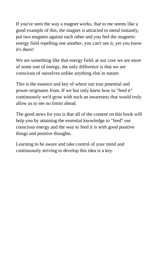If you've seen the way a magnet works, that to me seems like a good example of this, the magnet is attracted to metal instantly, put two magnets against each other and you feel the magnetic energy field repelling one another, you can't see it, yet you know it's there!

We are something like that energy field, at our core we are more of some sort of energy, the only difference is that we are conscious of ourselves unlike anything else in nature.

This is the essence and key of where our true potential and power originates from. If we but only knew how to "feed it" continuously we'd grow with such an awareness that would truly allow us to see no limits ahead.

The good news for you is that all of the content on this book will help you by attaining the essential knowledge to "feed" our conscious energy and the way to feed it is with good positive things and positive thoughts.

Learning to be aware and take control of your mind and continuously striving to develop this idea is a key.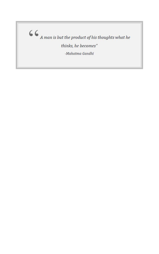$\mbox{\Large $\boldsymbol{\zeta}$}$   $\mbox{\Large $\boldsymbol{\zeta}$}$  <br> A man is but the product of his thoughts what he

thinks, he becomes"

-Mahatma Gandhi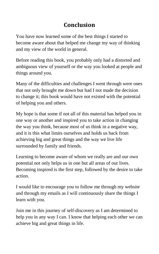# **Conclusion**

You have now learned some of the best things I started to become aware about that helped me change my way of thinking and my view of the world in general.

Before reading this book, you probably only had a distorted and ambiguous view of yourself or the way you looked at people and things around you.

Many of the difficulties and challenges I went through were ones that not only brought me down but had I not made the decision to change it; this book would have not existed with the potential of helping you and others.

My hope is that some if not all of this material has helped you in one way or another and inspired you to take action in changing the way you think, because most of us think in a negative way, and it is this what limits ourselves and holds us back from achieving big and great things and the way we live life surrounded by family and friends.

Learning to become aware of whom we really are and our own potential not only helps us in one but all areas of our lives. Becoming inspired is the first step, followed by the desire to take action.

I would like to encourage you to follow me through my website and through my emails as I will continuously share the things I learn with you.

Join me in this journey of self-discovery as I am determined to help you in any way I can. I know that helping each other we can achieve big and great things in life.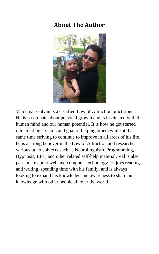### **About The Author**



Valdemar Galvan is a certified Law of Attraction practitioner. He is passionate about personal growth and is fascinated with the human mind and our human potential. It is how he got started into creating a vision and goal of helping others while at the same time striving to continue to improve in all areas of his life, he is a strong believer in the Law of Attraction and researches various other subjects such as Neurolinguistic Programming, Hypnosis, EFT, and other related self-help material. Val is also passionate about web and computer technology. Enjoys reading and writing, spending time with his family, and is always looking to expand his knowledge and awareness to share his knowledge with other people all over the world.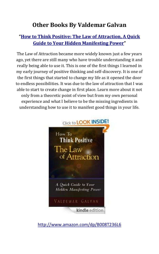### **Other Books By Valdemar Galvan**

#### **"[How to Think Positive: The Law of Attraction, A Quick](http://www.amazon.com/dp/B008T236L6)  [Guide to Your Hidden Manifesting Power](http://www.amazon.com/dp/B008T236L6)"**

The Law of Attraction became more widely known just a few years ago, yet there are still many who have trouble understanding it and really being able to use it. This is one of the first things I learned in my early journey of positive thinking and self-discovery. It is one of the first things that started to change my life as it opened the door to endless possibilities. It was due to the law of attraction that I was able to start to create change in first place. Learn more about it not only from a theoretic point of view but from my own personal experience and what I believe to be the missing ingredients in understanding how to use it to manifest good things in your life.



<http://www.amazon.com/dp/B008T236L6>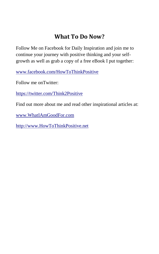## **What To Do Now?**

Follow Me on Facebook for Daily Inspiration and join me to continue your journey with positive thinking and your selfgrowth as well as grab a copy of a free eBook I put together:

[www.facebook.com/HowToThinkPositive](http://www.facebook.com/HowToThinkPositive)

Follow me onTwitter:

<https://twitter.com/Think2Positive>

Find out more about me and read other inspirational articles at:

[www.WhatIAmGoodFor.com](http://www.whatiamgoodfor.com/)

[http://www.HowToThinkPositive.net](http://www.howtothinkpositive.net/)